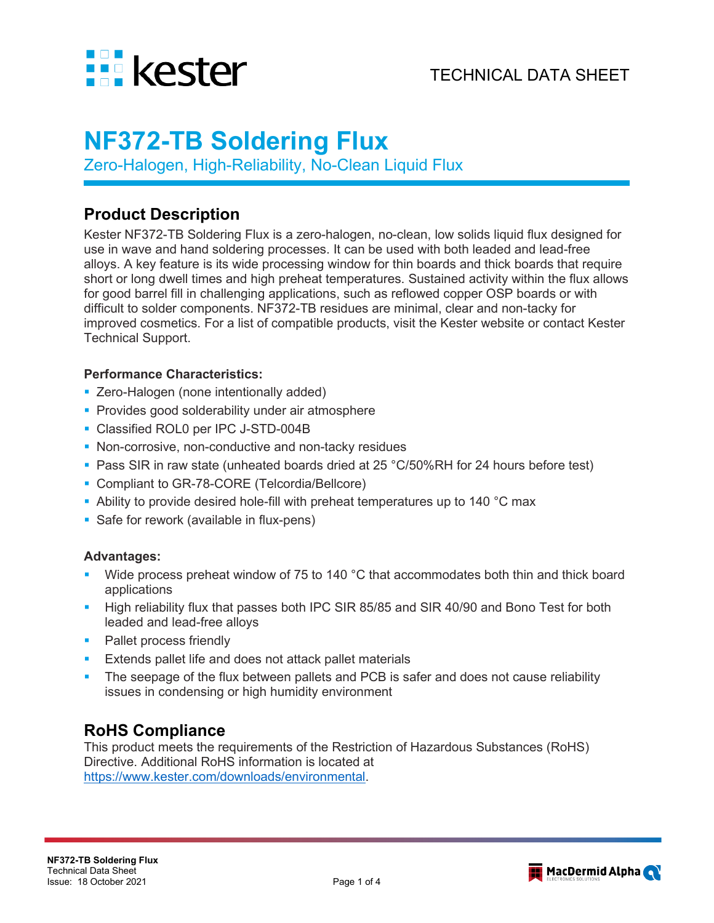

# **NF372-TB Soldering Flux**

Zero-Halogen, High-Reliability, No-Clean Liquid Flux

## **Product Description**

Kester NF372-TB Soldering Flux is a zero-halogen, no-clean, low solids liquid flux designed for use in wave and hand soldering processes. It can be used with both leaded and lead-free alloys. A key feature is its wide processing window for thin boards and thick boards that require short or long dwell times and high preheat temperatures. Sustained activity within the flux allows for good barrel fill in challenging applications, such as reflowed copper OSP boards or with difficult to solder components. NF372-TB residues are minimal, clear and non-tacky for improved cosmetics. For a list of compatible products, visit the Kester website or contact Kester Technical Support.

#### **Performance Characteristics:**

- **EXECO-Halogen (none intentionally added)**
- **Provides good solderability under air atmosphere**
- Classified ROL0 per IPC J-STD-004B
- **Non-corrosive, non-conductive and non-tacky residues**
- Pass SIR in raw state (unheated boards dried at 25 °C/50%RH for 24 hours before test)
- Compliant to GR-78-CORE (Telcordia/Bellcore)
- Ability to provide desired hole-fill with preheat temperatures up to 140 °C max
- **Safe for rework (available in flux-pens)**

#### **Advantages:**

- Wide process preheat window of 75 to 140 °C that accommodates both thin and thick board applications
- High reliability flux that passes both IPC SIR 85/85 and SIR 40/90 and Bono Test for both leaded and lead-free alloys
- Pallet process friendly
- Extends pallet life and does not attack pallet materials
- The seepage of the flux between pallets and PCB is safer and does not cause reliability issues in condensing or high humidity environment

# **RoHS Compliance**

This product meets the requirements of the Restriction of Hazardous Substances (RoHS) Directive. Additional RoHS information is located at [https://www.kester.com/downloads/environmental.](https://www.kester.com/downloads/environmental)

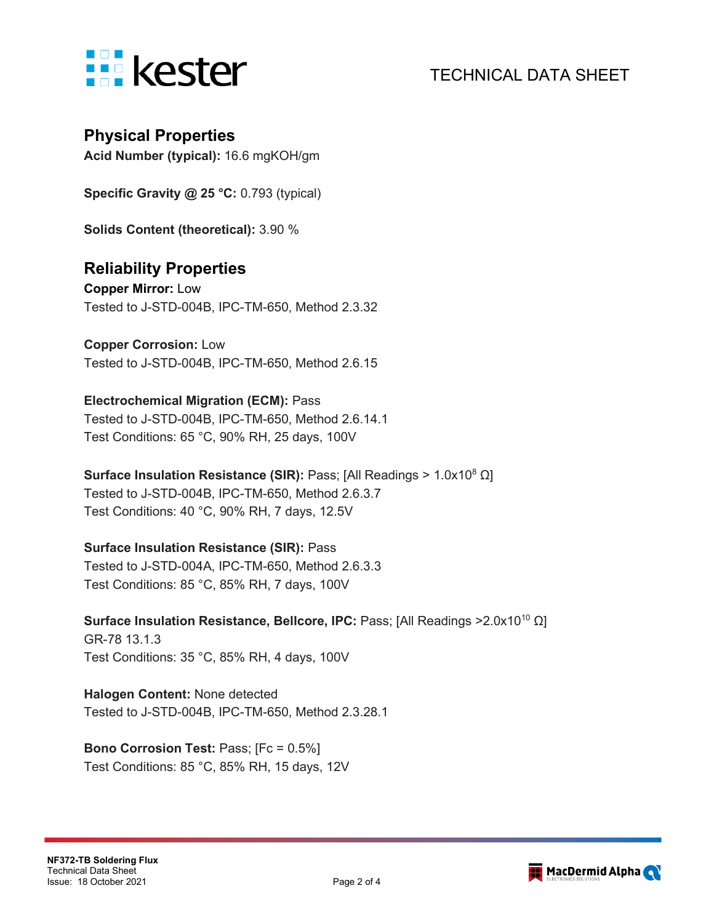

#### **Physical Properties**

**Acid Number (typical):** 16.6 mgKOH/gm

**Specific Gravity @ 25 °C:** 0.793 (typical)

**Solids Content (theoretical):** 3.90 %

#### **Reliability Properties**

**Copper Mirror:** Low Tested to J-STD-004B, IPC-TM-650, Method 2.3.32

**Copper Corrosion:** Low Tested to J-STD-004B, IPC-TM-650, Method 2.6.15

#### **Electrochemical Migration (ECM):** Pass

Tested to J-STD-004B, IPC-TM-650, Method 2.6.14.1 Test Conditions: 65 °C, 90% RH, 25 days, 100V

**Surface Insulation Resistance (SIR):** Pass; [All Readings > 1.0x108 Ω] Tested to J-STD-004B, IPC-TM-650, Method 2.6.3.7 Test Conditions: 40 °C, 90% RH, 7 days, 12.5V

#### **Surface Insulation Resistance (SIR):** Pass

Tested to J-STD-004A, IPC-TM-650, Method 2.6.3.3 Test Conditions: 85 °C, 85% RH, 7 days, 100V

Surface Insulation Resistance, Bellcore, IPC: Pass; [All Readings >2.0x10<sup>10</sup> Ω] GR-78 13.1.3 Test Conditions: 35 °C, 85% RH, 4 days, 100V

**Halogen Content:** None detected Tested to J-STD-004B, IPC-TM-650, Method 2.3.28.1

**Bono Corrosion Test:** Pass; [Fc = 0.5%] Test Conditions: 85 °C, 85% RH, 15 days, 12V

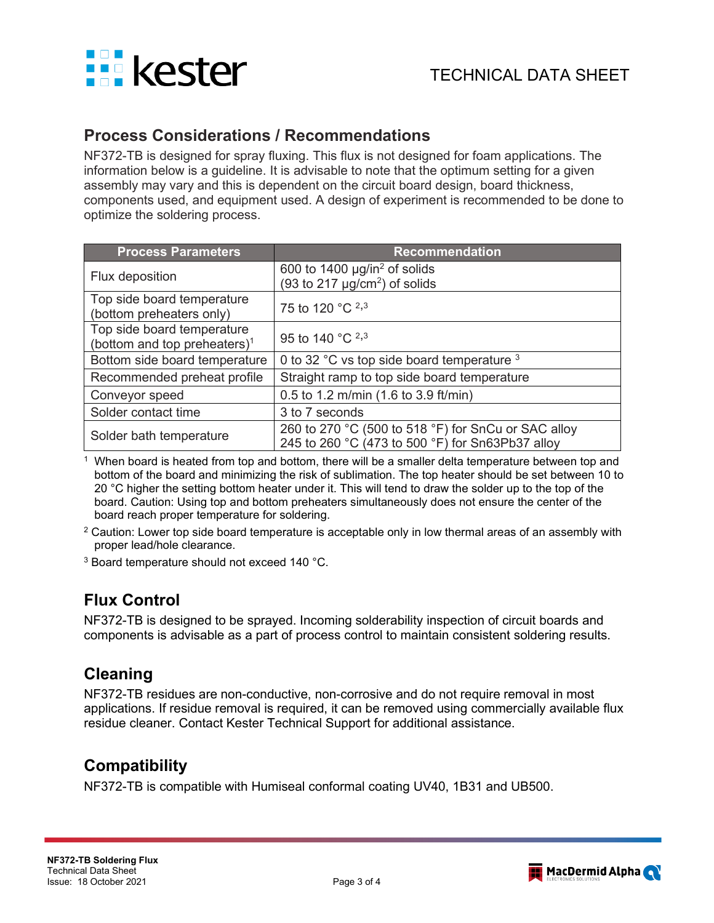

#### **Process Considerations / Recommendations**

NF372-TB is designed for spray fluxing. This flux is not designed for foam applications. The information below is a guideline. It is advisable to note that the optimum setting for a given assembly may vary and this is dependent on the circuit board design, board thickness, components used, and equipment used. A design of experiment is recommended to be done to optimize the soldering process.

| <b>Process Parameters</b>                                              | <b>Recommendation</b>                                                                                   |  |
|------------------------------------------------------------------------|---------------------------------------------------------------------------------------------------------|--|
| Flux deposition                                                        | 600 to 1400 $\mu$ g/in <sup>2</sup> of solids<br>(93 to 217 $\mu$ g/cm <sup>2</sup> ) of solids         |  |
| Top side board temperature<br>(bottom preheaters only)                 | 75 to 120 °C <sup>2,3</sup>                                                                             |  |
| Top side board temperature<br>(bottom and top preheaters) <sup>1</sup> | 95 to 140 °C <sup>2,3</sup>                                                                             |  |
| Bottom side board temperature                                          | 0 to 32 °C vs top side board temperature 3                                                              |  |
| Recommended preheat profile                                            | Straight ramp to top side board temperature                                                             |  |
| Conveyor speed                                                         | 0.5 to 1.2 m/min (1.6 to 3.9 ft/min)                                                                    |  |
| Solder contact time                                                    | 3 to 7 seconds                                                                                          |  |
| Solder bath temperature                                                | 260 to 270 °C (500 to 518 °F) for SnCu or SAC alloy<br>245 to 260 °C (473 to 500 °F) for Sn63Pb37 alloy |  |

When board is heated from top and bottom, there will be a smaller delta temperature between top and bottom of the board and minimizing the risk of sublimation. The top heater should be set between 10 to 20 °C higher the setting bottom heater under it. This will tend to draw the solder up to the top of the board. Caution: Using top and bottom preheaters simultaneously does not ensure the center of the board reach proper temperature for soldering.

- <sup>2</sup> Caution: Lower top side board temperature is acceptable only in low thermal areas of an assembly with proper lead/hole clearance.
- <sup>3</sup> Board temperature should not exceed 140 °C.

# **Flux Control**

NF372-TB is designed to be sprayed. Incoming solderability inspection of circuit boards and components is advisable as a part of process control to maintain consistent soldering results.

# **Cleaning**

NF372-TB residues are non-conductive, non-corrosive and do not require removal in most applications. If residue removal is required, it can be removed using commercially available flux residue cleaner. Contact Kester Technical Support for additional assistance.

## **Compatibility**

NF372-TB is compatible with Humiseal conformal coating UV40, 1B31 and UB500.